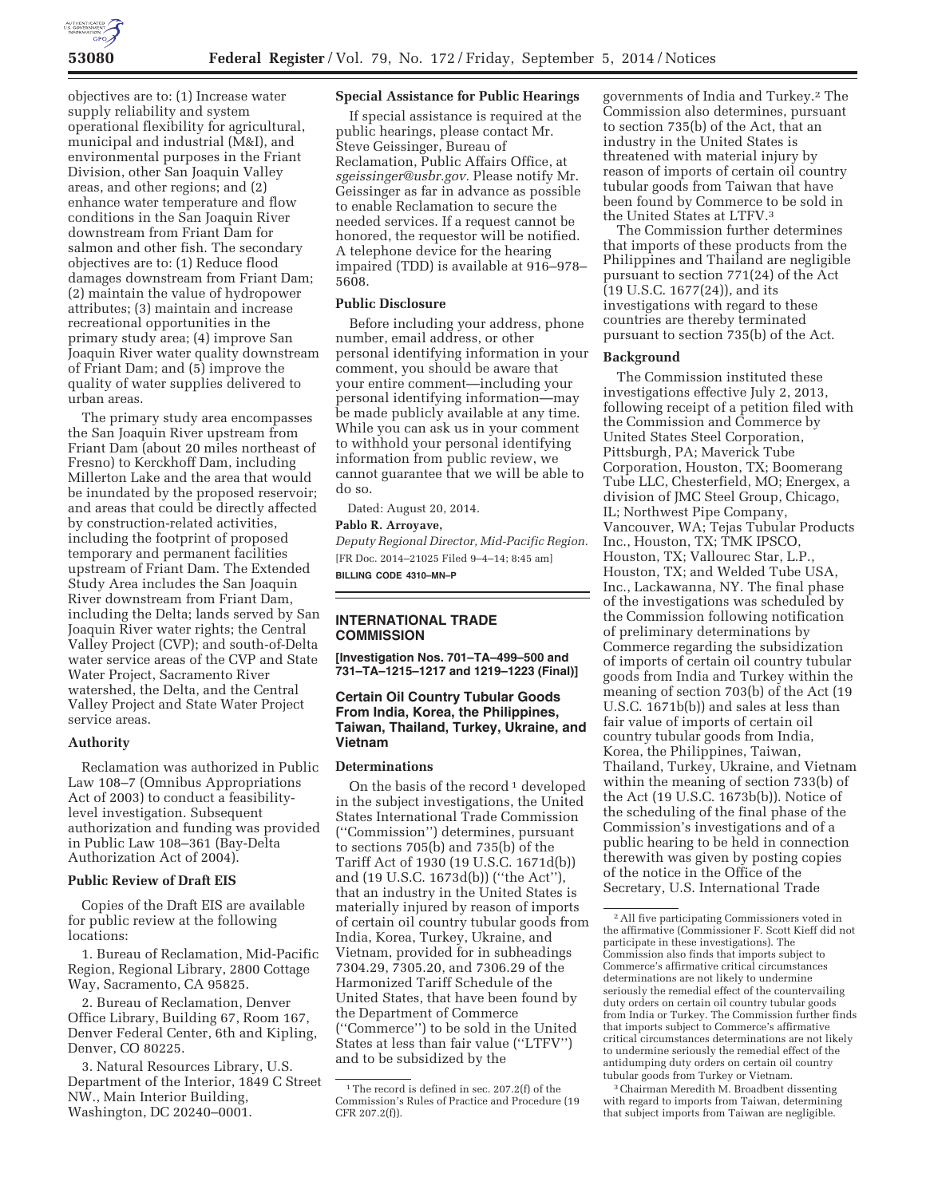

objectives are to: (1) Increase water supply reliability and system operational flexibility for agricultural, municipal and industrial (M&I), and environmental purposes in the Friant Division, other San Joaquin Valley areas, and other regions; and (2) enhance water temperature and flow conditions in the San Joaquin River downstream from Friant Dam for salmon and other fish. The secondary objectives are to: (1) Reduce flood damages downstream from Friant Dam; (2) maintain the value of hydropower attributes; (3) maintain and increase recreational opportunities in the primary study area; (4) improve San Joaquin River water quality downstream of Friant Dam; and (5) improve the quality of water supplies delivered to urban areas.

The primary study area encompasses the San Joaquin River upstream from Friant Dam (about 20 miles northeast of Fresno) to Kerckhoff Dam, including Millerton Lake and the area that would be inundated by the proposed reservoir; and areas that could be directly affected by construction-related activities, including the footprint of proposed temporary and permanent facilities upstream of Friant Dam. The Extended Study Area includes the San Joaquin River downstream from Friant Dam, including the Delta; lands served by San Joaquin River water rights; the Central Valley Project (CVP); and south-of-Delta water service areas of the CVP and State Water Project, Sacramento River watershed, the Delta, and the Central Valley Project and State Water Project service areas.

## **Authority**

Reclamation was authorized in Public Law 108–7 (Omnibus Appropriations Act of 2003) to conduct a feasibilitylevel investigation. Subsequent authorization and funding was provided in Public Law 108–361 (Bay-Delta Authorization Act of 2004).

### **Public Review of Draft EIS**

Copies of the Draft EIS are available for public review at the following locations:

1. Bureau of Reclamation, Mid-Pacific Region, Regional Library, 2800 Cottage Way, Sacramento, CA 95825.

2. Bureau of Reclamation, Denver Office Library, Building 67, Room 167, Denver Federal Center, 6th and Kipling, Denver, CO 80225.

3. Natural Resources Library, U.S. Department of the Interior, 1849 C Street NW., Main Interior Building, Washington, DC 20240–0001.

## **Special Assistance for Public Hearings**

If special assistance is required at the public hearings, please contact Mr. Steve Geissinger, Bureau of Reclamation, Public Affairs Office, at *sgeissinger@usbr.gov.* Please notify Mr. Geissinger as far in advance as possible to enable Reclamation to secure the needed services. If a request cannot be honored, the requestor will be notified. A telephone device for the hearing impaired (TDD) is available at 916–978– 5608.

# **Public Disclosure**

Before including your address, phone number, email address, or other personal identifying information in your comment, you should be aware that your entire comment—including your personal identifying information—may be made publicly available at any time. While you can ask us in your comment to withhold your personal identifying information from public review, we cannot guarantee that we will be able to do so.

Dated: August 20, 2014.

# **Pablo R. Arroyave,**

*Deputy Regional Director, Mid-Pacific Region.*  [FR Doc. 2014–21025 Filed 9–4–14; 8:45 am] **BILLING CODE 4310–MN–P** 

# **INTERNATIONAL TRADE COMMISSION**

**[Investigation Nos. 701–TA–499–500 and 731–TA–1215–1217 and 1219–1223 (Final)]** 

# **Certain Oil Country Tubular Goods From India, Korea, the Philippines, Taiwan, Thailand, Turkey, Ukraine, and Vietnam**

### **Determinations**

On the basis of the record  $\frac{1}{1}$  developed in the subject investigations, the United States International Trade Commission (''Commission'') determines, pursuant to sections 705(b) and 735(b) of the Tariff Act of 1930 (19 U.S.C. 1671d(b)) and (19 U.S.C. 1673d(b)) (''the Act''), that an industry in the United States is materially injured by reason of imports of certain oil country tubular goods from India, Korea, Turkey, Ukraine, and Vietnam, provided for in subheadings 7304.29, 7305.20, and 7306.29 of the Harmonized Tariff Schedule of the United States, that have been found by the Department of Commerce (''Commerce'') to be sold in the United States at less than fair value (''LTFV'') and to be subsidized by the

governments of India and Turkey.2 The Commission also determines, pursuant to section 735(b) of the Act, that an industry in the United States is threatened with material injury by reason of imports of certain oil country tubular goods from Taiwan that have been found by Commerce to be sold in the United States at LTFV.3

The Commission further determines that imports of these products from the Philippines and Thailand are negligible pursuant to section 771(24) of the Act (19 U.S.C. 1677(24)), and its investigations with regard to these countries are thereby terminated pursuant to section 735(b) of the Act.

### **Background**

The Commission instituted these investigations effective July 2, 2013, following receipt of a petition filed with the Commission and Commerce by United States Steel Corporation, Pittsburgh, PA; Maverick Tube Corporation, Houston, TX; Boomerang Tube LLC, Chesterfield, MO; Energex, a division of JMC Steel Group, Chicago, IL; Northwest Pipe Company, Vancouver, WA; Tejas Tubular Products Inc., Houston, TX; TMK IPSCO, Houston, TX; Vallourec Star, L.P., Houston, TX; and Welded Tube USA, Inc., Lackawanna, NY. The final phase of the investigations was scheduled by the Commission following notification of preliminary determinations by Commerce regarding the subsidization of imports of certain oil country tubular goods from India and Turkey within the meaning of section 703(b) of the Act (19 U.S.C. 1671b(b)) and sales at less than fair value of imports of certain oil country tubular goods from India, Korea, the Philippines, Taiwan, Thailand, Turkey, Ukraine, and Vietnam within the meaning of section 733(b) of the Act (19 U.S.C. 1673b(b)). Notice of the scheduling of the final phase of the Commission's investigations and of a public hearing to be held in connection therewith was given by posting copies of the notice in the Office of the Secretary, U.S. International Trade

3Chairman Meredith M. Broadbent dissenting with regard to imports from Taiwan, determining that subject imports from Taiwan are negligible.

<sup>&</sup>lt;sup>1</sup>The record is defined in sec. 207.2(f) of the Commission's Rules of Practice and Procedure (19 CFR 207.2(f)).

<sup>2</sup>All five participating Commissioners voted in the affirmative (Commissioner F. Scott Kieff did not participate in these investigations). The Commission also finds that imports subject to Commerce's affirmative critical circumstances determinations are not likely to undermine seriously the remedial effect of the countervailing duty orders on certain oil country tubular goods from India or Turkey. The Commission further finds that imports subject to Commerce's affirmative critical circumstances determinations are not likely to undermine seriously the remedial effect of the antidumping duty orders on certain oil country tubular goods from Turkey or Vietnam.